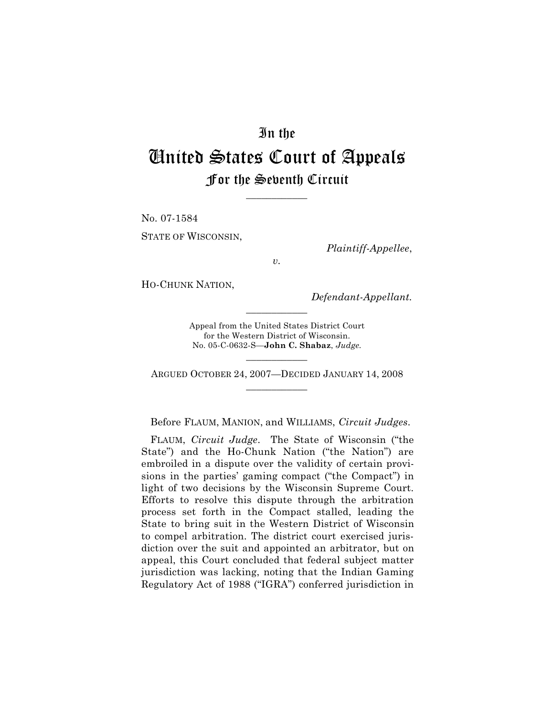## In the

# United States Court of Appeals For the Seventh Circuit

\_\_\_\_\_\_\_\_\_\_\_\_

No. 07-1584 STATE OF WISCONSIN,

*Plaintiff-Appellee*,

*v.*

HO-CHUNK NATION,

*Defendant-Appellant.*

Appeal from the United States District Court for the Western District of Wisconsin. No. 05-C-0632-S—**John C. Shabaz**, *Judge.*

 $\frac{1}{2}$ 

\_\_\_\_\_\_\_\_\_\_\_\_ ARGUED OCTOBER 24, 2007—DECIDED JANUARY 14, 2008 \_\_\_\_\_\_\_\_\_\_\_\_

Before FLAUM, MANION, and WILLIAMS, *Circuit Judges*.

FLAUM, *Circuit Judge*. The State of Wisconsin ("the State") and the Ho-Chunk Nation ("the Nation") are embroiled in a dispute over the validity of certain provisions in the parties' gaming compact ("the Compact") in light of two decisions by the Wisconsin Supreme Court. Efforts to resolve this dispute through the arbitration process set forth in the Compact stalled, leading the State to bring suit in the Western District of Wisconsin to compel arbitration. The district court exercised jurisdiction over the suit and appointed an arbitrator, but on appeal, this Court concluded that federal subject matter jurisdiction was lacking, noting that the Indian Gaming Regulatory Act of 1988 ("IGRA") conferred jurisdiction in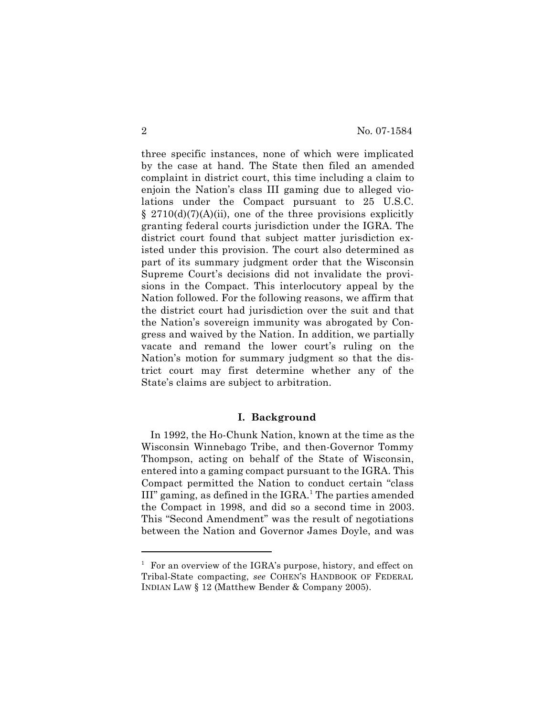three specific instances, none of which were implicated by the case at hand. The State then filed an amended complaint in district court, this time including a claim to enjoin the Nation's class III gaming due to alleged violations under the Compact pursuant to 25 U.S.C.  $\S$  2710(d)(7)(A)(ii), one of the three provisions explicitly granting federal courts jurisdiction under the IGRA. The district court found that subject matter jurisdiction existed under this provision. The court also determined as part of its summary judgment order that the Wisconsin Supreme Court's decisions did not invalidate the provisions in the Compact. This interlocutory appeal by the Nation followed. For the following reasons, we affirm that the district court had jurisdiction over the suit and that the Nation's sovereign immunity was abrogated by Congress and waived by the Nation. In addition, we partially vacate and remand the lower court's ruling on the Nation's motion for summary judgment so that the district court may first determine whether any of the State's claims are subject to arbitration.

## **I. Background**

In 1992, the Ho-Chunk Nation, known at the time as the Wisconsin Winnebago Tribe, and then-Governor Tommy Thompson, acting on behalf of the State of Wisconsin, entered into a gaming compact pursuant to the IGRA. This Compact permitted the Nation to conduct certain "class III" gaming, as defined in the IGRA.<sup>1</sup> The parties amended the Compact in 1998, and did so a second time in 2003. This "Second Amendment" was the result of negotiations between the Nation and Governor James Doyle, and was

 $1$  For an overview of the IGRA's purpose, history, and effect on Tribal-State compacting, *see* COHEN'S HANDBOOK OF FEDERAL INDIAN LAW § 12 (Matthew Bender & Company 2005).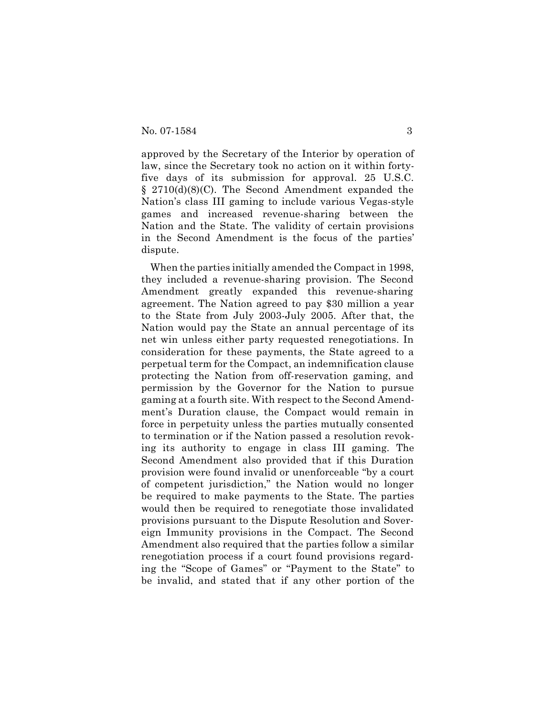approved by the Secretary of the Interior by operation of law, since the Secretary took no action on it within fortyfive days of its submission for approval. 25 U.S.C. § 2710(d)(8)(C). The Second Amendment expanded the Nation's class III gaming to include various Vegas-style games and increased revenue-sharing between the Nation and the State. The validity of certain provisions in the Second Amendment is the focus of the parties' dispute.

When the parties initially amended the Compact in 1998, they included a revenue-sharing provision. The Second Amendment greatly expanded this revenue-sharing agreement. The Nation agreed to pay \$30 million a year to the State from July 2003-July 2005. After that, the Nation would pay the State an annual percentage of its net win unless either party requested renegotiations. In consideration for these payments, the State agreed to a perpetual term for the Compact, an indemnification clause protecting the Nation from off-reservation gaming, and permission by the Governor for the Nation to pursue gaming at a fourth site. With respect to the Second Amendment's Duration clause, the Compact would remain in force in perpetuity unless the parties mutually consented to termination or if the Nation passed a resolution revoking its authority to engage in class III gaming. The Second Amendment also provided that if this Duration provision were found invalid or unenforceable "by a court of competent jurisdiction," the Nation would no longer be required to make payments to the State. The parties would then be required to renegotiate those invalidated provisions pursuant to the Dispute Resolution and Sovereign Immunity provisions in the Compact. The Second Amendment also required that the parties follow a similar renegotiation process if a court found provisions regarding the "Scope of Games" or "Payment to the State" to be invalid, and stated that if any other portion of the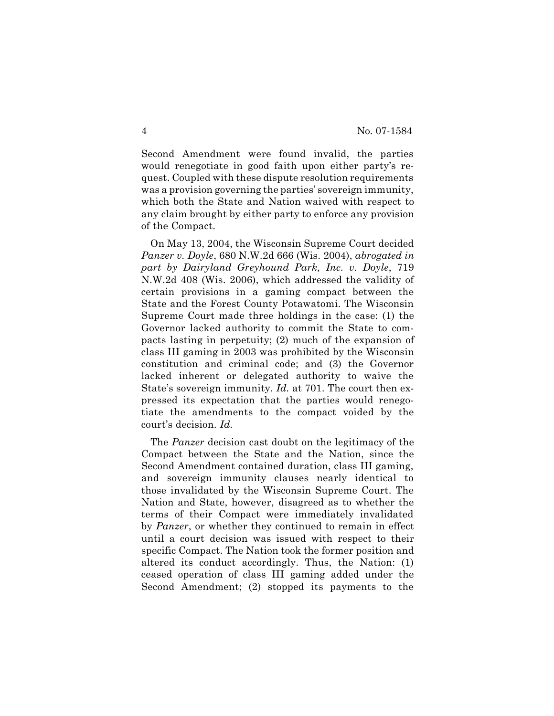Second Amendment were found invalid, the parties would renegotiate in good faith upon either party's request. Coupled with these dispute resolution requirements was a provision governing the parties' sovereign immunity, which both the State and Nation waived with respect to any claim brought by either party to enforce any provision of the Compact.

On May 13, 2004, the Wisconsin Supreme Court decided *Panzer v. Doyle*, 680 N.W.2d 666 (Wis. 2004), *abrogated in part by Dairyland Greyhound Park, Inc. v. Doyle*, 719 N.W.2d 408 (Wis. 2006), which addressed the validity of certain provisions in a gaming compact between the State and the Forest County Potawatomi. The Wisconsin Supreme Court made three holdings in the case: (1) the Governor lacked authority to commit the State to compacts lasting in perpetuity; (2) much of the expansion of class III gaming in 2003 was prohibited by the Wisconsin constitution and criminal code; and (3) the Governor lacked inherent or delegated authority to waive the State's sovereign immunity. *Id.* at 701. The court then expressed its expectation that the parties would renegotiate the amendments to the compact voided by the court's decision. *Id.*

The *Panzer* decision cast doubt on the legitimacy of the Compact between the State and the Nation, since the Second Amendment contained duration, class III gaming, and sovereign immunity clauses nearly identical to those invalidated by the Wisconsin Supreme Court. The Nation and State, however, disagreed as to whether the terms of their Compact were immediately invalidated by *Panzer*, or whether they continued to remain in effect until a court decision was issued with respect to their specific Compact. The Nation took the former position and altered its conduct accordingly. Thus, the Nation: (1) ceased operation of class III gaming added under the Second Amendment; (2) stopped its payments to the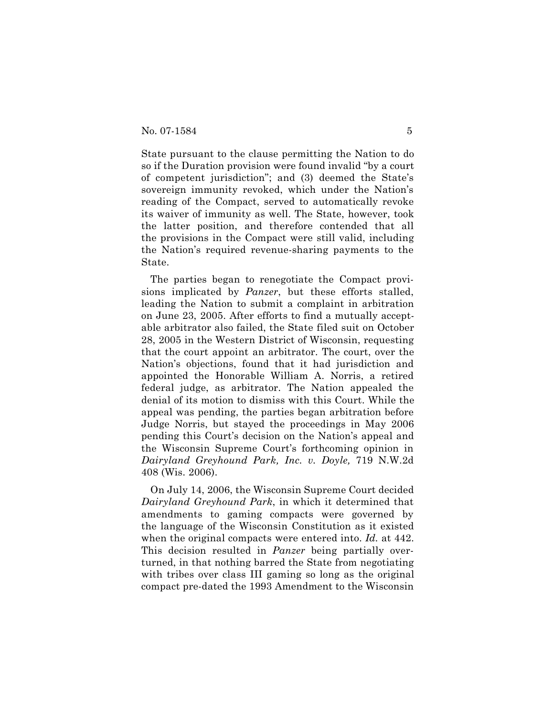State pursuant to the clause permitting the Nation to do so if the Duration provision were found invalid "by a court of competent jurisdiction"; and (3) deemed the State's sovereign immunity revoked, which under the Nation's reading of the Compact, served to automatically revoke its waiver of immunity as well. The State, however, took the latter position, and therefore contended that all the provisions in the Compact were still valid, including the Nation's required revenue-sharing payments to the State.

The parties began to renegotiate the Compact provisions implicated by *Panzer*, but these efforts stalled, leading the Nation to submit a complaint in arbitration on June 23, 2005. After efforts to find a mutually acceptable arbitrator also failed, the State filed suit on October 28, 2005 in the Western District of Wisconsin, requesting that the court appoint an arbitrator. The court, over the Nation's objections, found that it had jurisdiction and appointed the Honorable William A. Norris, a retired federal judge, as arbitrator. The Nation appealed the denial of its motion to dismiss with this Court. While the appeal was pending, the parties began arbitration before Judge Norris, but stayed the proceedings in May 2006 pending this Court's decision on the Nation's appeal and the Wisconsin Supreme Court's forthcoming opinion in *Dairyland Greyhound Park, Inc. v. Doyle,* 719 N.W.2d 408 (Wis. 2006).

On July 14, 2006, the Wisconsin Supreme Court decided *Dairyland Greyhound Park*, in which it determined that amendments to gaming compacts were governed by the language of the Wisconsin Constitution as it existed when the original compacts were entered into. *Id.* at 442. This decision resulted in *Panzer* being partially overturned, in that nothing barred the State from negotiating with tribes over class III gaming so long as the original compact pre-dated the 1993 Amendment to the Wisconsin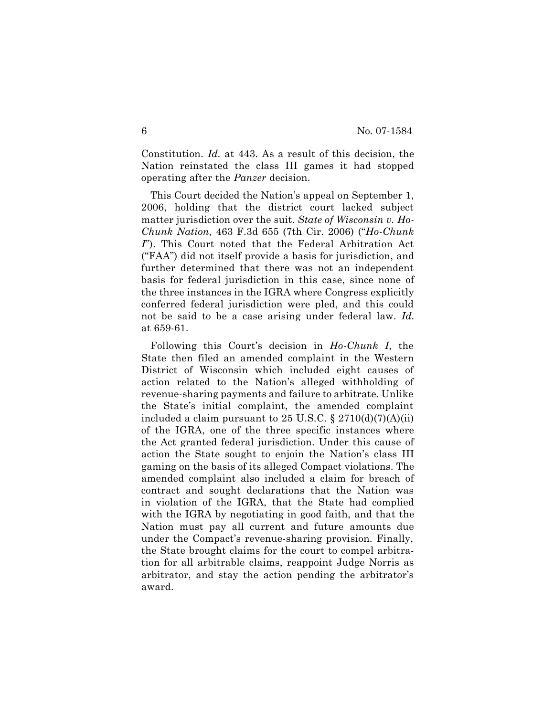Constitution. *Id.* at 443. As a result of this decision, the Nation reinstated the class III games it had stopped operating after the *Panzer* decision.

This Court decided the Nation's appeal on September 1, 2006, holding that the district court lacked subject matter jurisdiction over the suit. *State of Wisconsin v. Ho-Chunk Nation,* 463 F.3d 655 (7th Cir. 2006) ("*Ho-Chunk I*"). This Court noted that the Federal Arbitration Act ("FAA") did not itself provide a basis for jurisdiction, and further determined that there was not an independent basis for federal jurisdiction in this case, since none of the three instances in the IGRA where Congress explicitly conferred federal jurisdiction were pled, and this could not be said to be a case arising under federal law. *Id.* at 659-61.

Following this Court's decision in *Ho-Chunk I*, the State then filed an amended complaint in the Western District of Wisconsin which included eight causes of action related to the Nation's alleged withholding of revenue-sharing payments and failure to arbitrate. Unlike the State's initial complaint, the amended complaint included a claim pursuant to 25 U.S.C.  $\S 2710(d)(7)(A)(ii)$ of the IGRA, one of the three specific instances where the Act granted federal jurisdiction. Under this cause of action the State sought to enjoin the Nation's class III gaming on the basis of its alleged Compact violations. The amended complaint also included a claim for breach of contract and sought declarations that the Nation was in violation of the IGRA, that the State had complied with the IGRA by negotiating in good faith, and that the Nation must pay all current and future amounts due under the Compact's revenue-sharing provision. Finally, the State brought claims for the court to compel arbitration for all arbitrable claims, reappoint Judge Norris as arbitrator, and stay the action pending the arbitrator's award.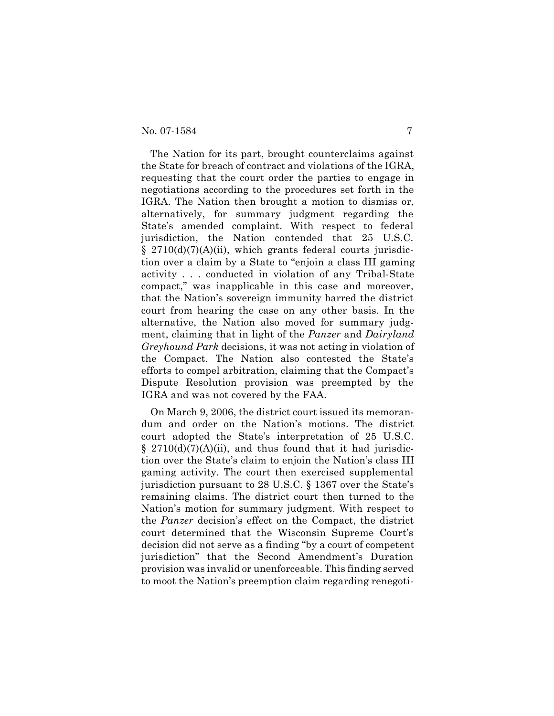The Nation for its part, brought counterclaims against the State for breach of contract and violations of the IGRA, requesting that the court order the parties to engage in negotiations according to the procedures set forth in the IGRA. The Nation then brought a motion to dismiss or, alternatively, for summary judgment regarding the State's amended complaint. With respect to federal jurisdiction, the Nation contended that 25 U.S.C.  $\S$  2710(d)(7)(A)(ii), which grants federal courts jurisdiction over a claim by a State to "enjoin a class III gaming activity . . . conducted in violation of any Tribal-State compact," was inapplicable in this case and moreover, that the Nation's sovereign immunity barred the district court from hearing the case on any other basis. In the alternative, the Nation also moved for summary judgment, claiming that in light of the *Panzer* and *Dairyland Greyhound Park* decisions, it was not acting in violation of the Compact. The Nation also contested the State's efforts to compel arbitration, claiming that the Compact's Dispute Resolution provision was preempted by the IGRA and was not covered by the FAA.

On March 9, 2006, the district court issued its memorandum and order on the Nation's motions. The district court adopted the State's interpretation of 25 U.S.C.  $\S$  2710(d)(7)(A)(ii), and thus found that it had jurisdiction over the State's claim to enjoin the Nation's class III gaming activity. The court then exercised supplemental jurisdiction pursuant to 28 U.S.C. § 1367 over the State's remaining claims. The district court then turned to the Nation's motion for summary judgment. With respect to the *Panzer* decision's effect on the Compact, the district court determined that the Wisconsin Supreme Court's decision did not serve as a finding "by a court of competent jurisdiction" that the Second Amendment's Duration provision was invalid or unenforceable. This finding served to moot the Nation's preemption claim regarding renegoti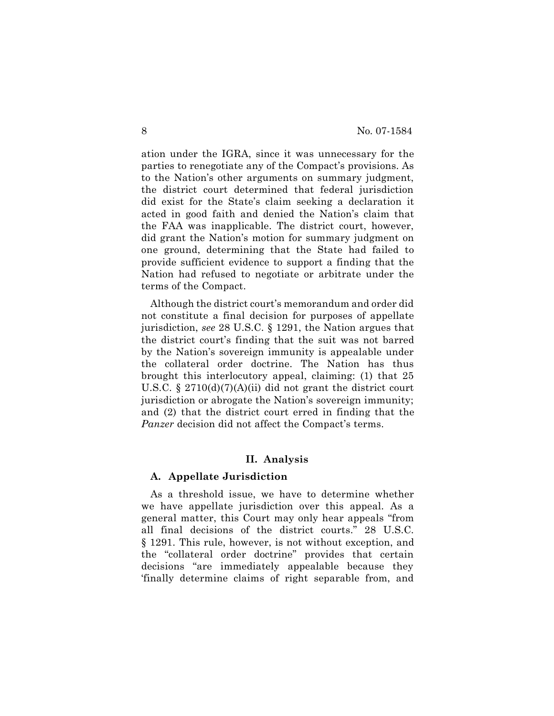ation under the IGRA, since it was unnecessary for the parties to renegotiate any of the Compact's provisions. As to the Nation's other arguments on summary judgment, the district court determined that federal jurisdiction did exist for the State's claim seeking a declaration it acted in good faith and denied the Nation's claim that the FAA was inapplicable. The district court, however, did grant the Nation's motion for summary judgment on one ground, determining that the State had failed to provide sufficient evidence to support a finding that the Nation had refused to negotiate or arbitrate under the terms of the Compact.

Although the district court's memorandum and order did not constitute a final decision for purposes of appellate jurisdiction, *see* 28 U.S.C. § 1291, the Nation argues that the district court's finding that the suit was not barred by the Nation's sovereign immunity is appealable under the collateral order doctrine. The Nation has thus brought this interlocutory appeal, claiming: (1) that 25 U.S.C. § 2710(d)(7)(A)(ii) did not grant the district court jurisdiction or abrogate the Nation's sovereign immunity; and (2) that the district court erred in finding that the *Panzer* decision did not affect the Compact's terms.

## **II. Analysis**

### **A. Appellate Jurisdiction**

As a threshold issue, we have to determine whether we have appellate jurisdiction over this appeal. As a general matter, this Court may only hear appeals "from all final decisions of the district courts." 28 U.S.C. § 1291. This rule, however, is not without exception, and the "collateral order doctrine" provides that certain decisions "are immediately appealable because they 'finally determine claims of right separable from, and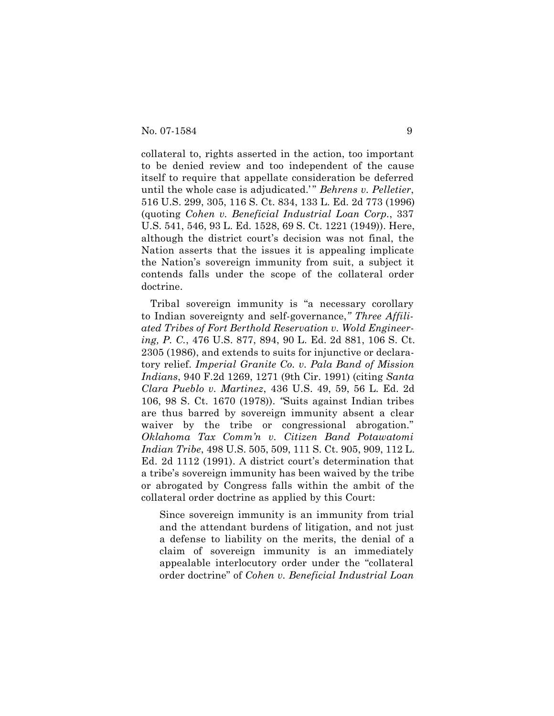collateral to, rights asserted in the action, too important to be denied review and too independent of the cause itself to require that appellate consideration be deferred until the whole case is adjudicated.' " *Behrens v. Pelletier*, 516 U.S. 299, 305, 116 S. Ct. 834, 133 L. Ed. 2d 773 (1996) (quoting *Cohen v. Beneficial Industrial Loan Corp.*, 337 U.S. 541, 546, 93 L. Ed. 1528, 69 S. Ct. 1221 (1949)). Here, although the district court's decision was not final, the Nation asserts that the issues it is appealing implicate the Nation's sovereign immunity from suit, a subject it contends falls under the scope of the collateral order doctrine.

Tribal sovereign immunity is "a necessary corollary to Indian sovereignty and self-governance,*" Three Affiliated Tribes of Fort Berthold Reservation v. Wold Engineering, P. C.*, 476 U.S. 877, 894, 90 L. Ed. 2d 881, 106 S. Ct. 2305 (1986), and extends to suits for injunctive or declaratory relief. *Imperial Granite Co. v. Pala Band of Mission Indians*, 940 F.2d 1269, 1271 (9th Cir. 1991) (citing *Santa Clara Pueblo v. Martinez*, 436 U.S. 49, 59, 56 L. Ed. 2d 106, 98 S. Ct. 1670 (1978)). *"*Suits against Indian tribes are thus barred by sovereign immunity absent a clear waiver by the tribe or congressional abrogation." *Oklahoma Tax Comm'n v. Citizen Band Potawatomi Indian Tribe*, 498 U.S. 505, 509, 111 S. Ct. 905, 909, 112 L. Ed. 2d 1112 (1991). A district court's determination that a tribe's sovereign immunity has been waived by the tribe or abrogated by Congress falls within the ambit of the collateral order doctrine as applied by this Court:

Since sovereign immunity is an immunity from trial and the attendant burdens of litigation, and not just a defense to liability on the merits, the denial of a claim of sovereign immunity is an immediately appealable interlocutory order under the "collateral order doctrine" of *Cohen v. Beneficial Industrial Loan*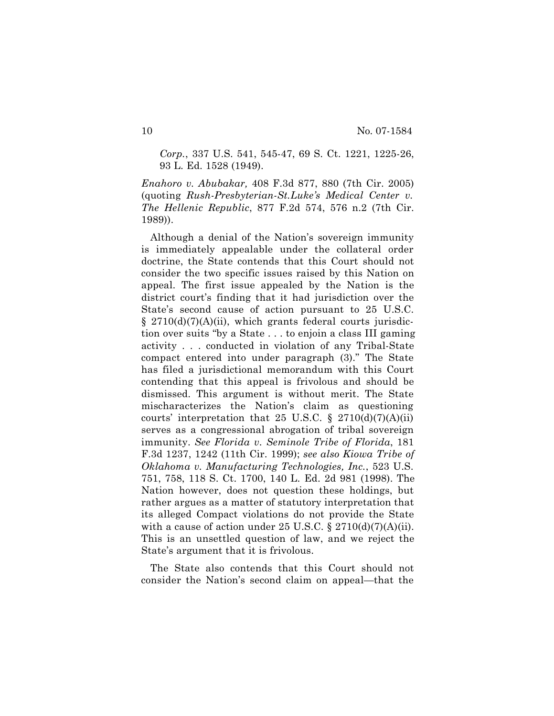*Corp.*, 337 U.S. 541, 545-47, 69 S. Ct. 1221, 1225-26, 93 L. Ed. 1528 (1949).

*Enahoro v. Abubakar,* 408 F.3d 877, 880 (7th Cir. 2005) (quoting *Rush-Presbyterian-St.Luke's Medical Center v. The Hellenic Republic*, 877 F.2d 574, 576 n.2 (7th Cir. 1989)).

Although a denial of the Nation's sovereign immunity is immediately appealable under the collateral order doctrine, the State contends that this Court should not consider the two specific issues raised by this Nation on appeal. The first issue appealed by the Nation is the district court's finding that it had jurisdiction over the State's second cause of action pursuant to 25 U.S.C.  $\S$  2710(d)(7)(A)(ii), which grants federal courts jurisdiction over suits "by a State . . . to enjoin a class III gaming activity . . . conducted in violation of any Tribal-State compact entered into under paragraph (3)." The State has filed a jurisdictional memorandum with this Court contending that this appeal is frivolous and should be dismissed. This argument is without merit. The State mischaracterizes the Nation's claim as questioning courts' interpretation that 25 U.S.C.  $\S$  2710(d)(7)(A)(ii) serves as a congressional abrogation of tribal sovereign immunity. *See Florida v. Seminole Tribe of Florida*, 181 F.3d 1237, 1242 (11th Cir. 1999); *see also Kiowa Tribe of Oklahoma v. Manufacturing Technologies, Inc.*, 523 U.S. 751, 758, 118 S. Ct. 1700, 140 L. Ed. 2d 981 (1998). The Nation however, does not question these holdings, but rather argues as a matter of statutory interpretation that its alleged Compact violations do not provide the State with a cause of action under 25 U.S.C.  $\S 2710(d)(7)(A)(ii)$ . This is an unsettled question of law, and we reject the State's argument that it is frivolous.

The State also contends that this Court should not consider the Nation's second claim on appeal—that the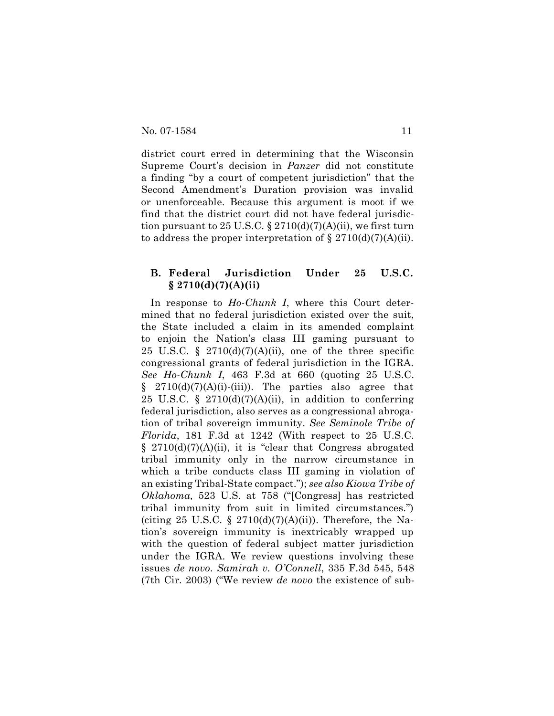district court erred in determining that the Wisconsin Supreme Court's decision in *Panzer* did not constitute a finding "by a court of competent jurisdiction" that the Second Amendment's Duration provision was invalid or unenforceable. Because this argument is moot if we find that the district court did not have federal jurisdiction pursuant to 25 U.S.C. § 2710(d)(7)(A)(ii), we first turn to address the proper interpretation of  $\S 2710(d)(7)(A)(ii)$ .

## **B. Federal Jurisdiction Under 25 U.S.C. § 2710(d)(7)(A)(ii)**

In response to *Ho-Chunk I*, where this Court determined that no federal jurisdiction existed over the suit, the State included a claim in its amended complaint to enjoin the Nation's class III gaming pursuant to 25 U.S.C. § 2710(d)(7)(A)(ii), one of the three specific congressional grants of federal jurisdiction in the IGRA. *See Ho-Chunk I*, 463 F.3d at 660 (quoting 25 U.S.C.  $§$  2710(d)(7)(A)(i)-(iii)). The parties also agree that 25 U.S.C. § 2710(d)(7)(A)(ii), in addition to conferring federal jurisdiction, also serves as a congressional abrogation of tribal sovereign immunity. *See Seminole Tribe of Florida*, 181 F.3d at 1242 (With respect to 25 U.S.C.  $§$  2710(d)(7)(A)(ii), it is "clear that Congress abrogated tribal immunity only in the narrow circumstance in which a tribe conducts class III gaming in violation of an existing Tribal-State compact."); *see also Kiowa Tribe of Oklahoma,* 523 U.S. at 758 ("[Congress] has restricted tribal immunity from suit in limited circumstances.") (citing 25 U.S.C. § 2710(d)(7)(A)(ii)). Therefore, the Nation's sovereign immunity is inextricably wrapped up with the question of federal subject matter jurisdiction under the IGRA. We review questions involving these issues *de novo*. *Samirah v. O'Connell*, 335 F.3d 545, 548 (7th Cir. 2003) ("We review *de novo* the existence of sub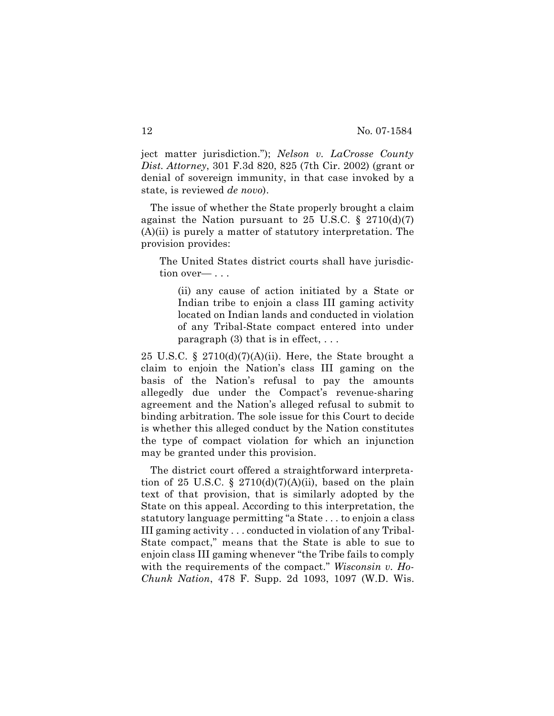ject matter jurisdiction."); *Nelson v. LaCrosse County Dist. Attorney*, 301 F.3d 820, 825 (7th Cir. 2002) (grant or denial of sovereign immunity, in that case invoked by a state, is reviewed *de novo*).

The issue of whether the State properly brought a claim against the Nation pursuant to 25 U.S.C.  $\S$  2710(d)(7) (A)(ii) is purely a matter of statutory interpretation. The provision provides:

The United States district courts shall have jurisdiction over— . . .

(ii) any cause of action initiated by a State or Indian tribe to enjoin a class III gaming activity located on Indian lands and conducted in violation of any Tribal-State compact entered into under paragraph  $(3)$  that is in effect, ...

25 U.S.C. § 2710(d)(7)(A)(ii). Here, the State brought a claim to enjoin the Nation's class III gaming on the basis of the Nation's refusal to pay the amounts allegedly due under the Compact's revenue-sharing agreement and the Nation's alleged refusal to submit to binding arbitration. The sole issue for this Court to decide is whether this alleged conduct by the Nation constitutes the type of compact violation for which an injunction may be granted under this provision.

The district court offered a straightforward interpretation of 25 U.S.C. § 2710(d)(7)(A)(ii), based on the plain text of that provision, that is similarly adopted by the State on this appeal. According to this interpretation, the statutory language permitting "a State . . . to enjoin a class III gaming activity . . . conducted in violation of any Tribal-State compact," means that the State is able to sue to enjoin class III gaming whenever "the Tribe fails to comply with the requirements of the compact." *Wisconsin v. Ho-Chunk Nation*, 478 F. Supp. 2d 1093, 1097 (W.D. Wis.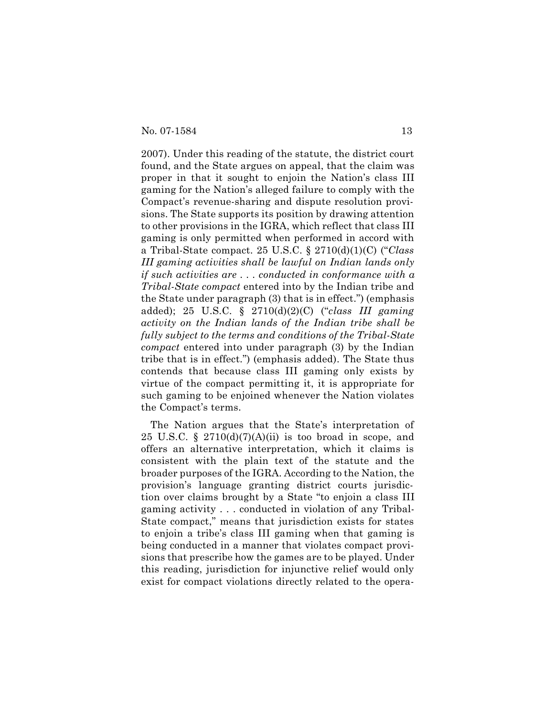2007). Under this reading of the statute, the district court found, and the State argues on appeal, that the claim was proper in that it sought to enjoin the Nation's class III gaming for the Nation's alleged failure to comply with the Compact's revenue-sharing and dispute resolution provisions. The State supports its position by drawing attention to other provisions in the IGRA, which reflect that class III gaming is only permitted when performed in accord with a Tribal-State compact. 25 U.S.C. § 2710(d)(1)(C) ("*Class III gaming activities shall be lawful on Indian lands only if such activities are . . . conducted in conformance with a Tribal-State compact* entered into by the Indian tribe and the State under paragraph (3) that is in effect.") (emphasis added); 25 U.S.C. § 2710(d)(2)(C) ("*class III gaming activity on the Indian lands of the Indian tribe shall be fully subject to the terms and conditions of the Tribal-State compact* entered into under paragraph (3) by the Indian tribe that is in effect.") (emphasis added). The State thus contends that because class III gaming only exists by virtue of the compact permitting it, it is appropriate for such gaming to be enjoined whenever the Nation violates the Compact's terms.

The Nation argues that the State's interpretation of 25 U.S.C. §  $2710(d)(7)(A)(ii)$  is too broad in scope, and offers an alternative interpretation, which it claims is consistent with the plain text of the statute and the broader purposes of the IGRA. According to the Nation, the provision's language granting district courts jurisdiction over claims brought by a State "to enjoin a class III gaming activity . . . conducted in violation of any Tribal-State compact," means that jurisdiction exists for states to enjoin a tribe's class III gaming when that gaming is being conducted in a manner that violates compact provisions that prescribe how the games are to be played. Under this reading, jurisdiction for injunctive relief would only exist for compact violations directly related to the opera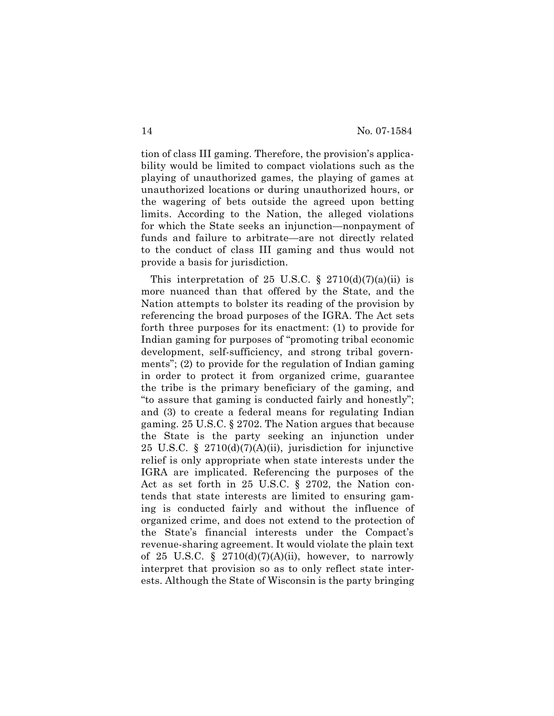tion of class III gaming. Therefore, the provision's applicability would be limited to compact violations such as the playing of unauthorized games, the playing of games at unauthorized locations or during unauthorized hours, or the wagering of bets outside the agreed upon betting limits. According to the Nation, the alleged violations for which the State seeks an injunction—nonpayment of funds and failure to arbitrate—are not directly related to the conduct of class III gaming and thus would not provide a basis for jurisdiction.

This interpretation of 25 U.S.C.  $\S$  2710(d)(7)(a)(ii) is more nuanced than that offered by the State, and the Nation attempts to bolster its reading of the provision by referencing the broad purposes of the IGRA. The Act sets forth three purposes for its enactment: (1) to provide for Indian gaming for purposes of "promoting tribal economic development, self-sufficiency, and strong tribal governments"; (2) to provide for the regulation of Indian gaming in order to protect it from organized crime, guarantee the tribe is the primary beneficiary of the gaming, and "to assure that gaming is conducted fairly and honestly"; and (3) to create a federal means for regulating Indian gaming. 25 U.S.C. § 2702. The Nation argues that because the State is the party seeking an injunction under 25 U.S.C. § 2710(d)(7)(A)(ii), jurisdiction for injunctive relief is only appropriate when state interests under the IGRA are implicated. Referencing the purposes of the Act as set forth in 25 U.S.C. § 2702, the Nation contends that state interests are limited to ensuring gaming is conducted fairly and without the influence of organized crime, and does not extend to the protection of the State's financial interests under the Compact's revenue-sharing agreement. It would violate the plain text of 25 U.S.C. §  $2710(d)(7)(A)(ii)$ , however, to narrowly interpret that provision so as to only reflect state interests. Although the State of Wisconsin is the party bringing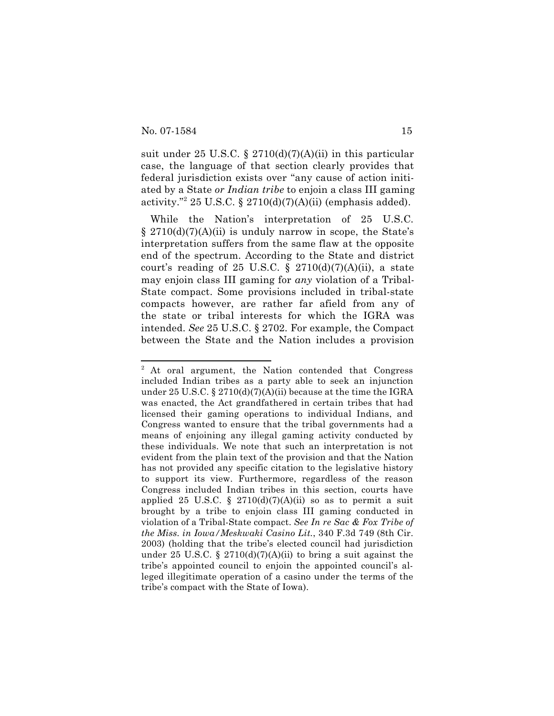suit under 25 U.S.C. § 2710(d)(7)(A)(ii) in this particular case, the language of that section clearly provides that federal jurisdiction exists over "any cause of action initiated by a State *or Indian tribe* to enjoin a class III gaming activity."<sup>2</sup> 25 U.S.C. § 2710(d)(7)(A)(ii) (emphasis added).

While the Nation's interpretation of 25 U.S.C.  $\S 2710(d)(7)(A)(ii)$  is unduly narrow in scope, the State's interpretation suffers from the same flaw at the opposite end of the spectrum. According to the State and district court's reading of 25 U.S.C. § 2710(d)(7)(A)(ii), a state may enjoin class III gaming for *any* violation of a Tribal-State compact. Some provisions included in tribal-state compacts however, are rather far afield from any of the state or tribal interests for which the IGRA was intended. *See* 25 U.S.C. § 2702. For example, the Compact between the State and the Nation includes a provision

<sup>&</sup>lt;sup>2</sup> At oral argument, the Nation contended that Congress included Indian tribes as a party able to seek an injunction under 25 U.S.C. § 2710(d)(7)(A)(ii) because at the time the IGRA was enacted, the Act grandfathered in certain tribes that had licensed their gaming operations to individual Indians, and Congress wanted to ensure that the tribal governments had a means of enjoining any illegal gaming activity conducted by these individuals. We note that such an interpretation is not evident from the plain text of the provision and that the Nation has not provided any specific citation to the legislative history to support its view. Furthermore, regardless of the reason Congress included Indian tribes in this section, courts have applied 25 U.S.C. §  $2710(d)(7)(A)(ii)$  so as to permit a suit brought by a tribe to enjoin class III gaming conducted in violation of a Tribal-State compact. *See In re Sac & Fox Tribe of the Miss. in Iowa/Meskwaki Casino Lit.*, 340 F.3d 749 (8th Cir. 2003) (holding that the tribe's elected council had jurisdiction under 25 U.S.C. § 2710(d)(7)(A)(ii) to bring a suit against the tribe's appointed council to enjoin the appointed council's alleged illegitimate operation of a casino under the terms of the tribe's compact with the State of Iowa).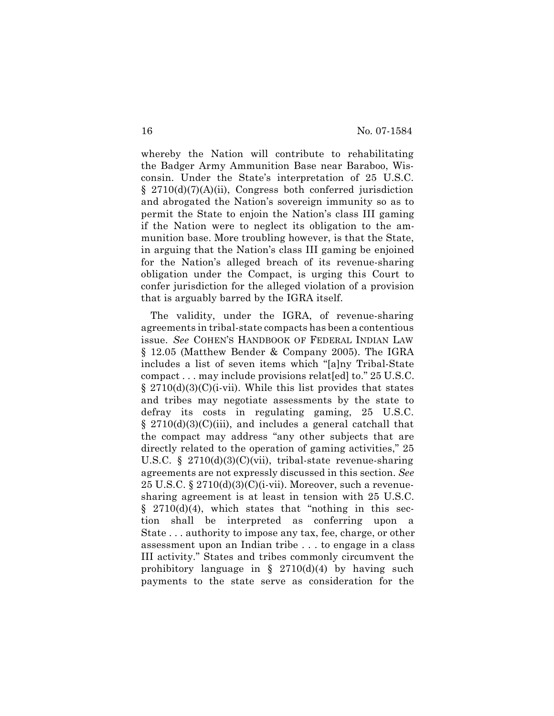whereby the Nation will contribute to rehabilitating the Badger Army Ammunition Base near Baraboo, Wisconsin. Under the State's interpretation of 25 U.S.C. § 2710(d)(7)(A)(ii), Congress both conferred jurisdiction and abrogated the Nation's sovereign immunity so as to permit the State to enjoin the Nation's class III gaming if the Nation were to neglect its obligation to the ammunition base. More troubling however, is that the State, in arguing that the Nation's class III gaming be enjoined for the Nation's alleged breach of its revenue-sharing obligation under the Compact, is urging this Court to confer jurisdiction for the alleged violation of a provision that is arguably barred by the IGRA itself.

The validity, under the IGRA, of revenue-sharing agreements in tribal-state compacts has been a contentious issue. *See* COHEN'S HANDBOOK OF FEDERAL INDIAN LAW § 12.05 (Matthew Bender & Company 2005). The IGRA includes a list of seven items which "[a]ny Tribal-State compact . . . may include provisions relat[ed] to." 25 U.S.C.  $\S 2710(d)(3)(C)(i-vii)$ . While this list provides that states and tribes may negotiate assessments by the state to defray its costs in regulating gaming, 25 U.S.C.  $\S$  2710(d)(3)(C)(iii), and includes a general catchall that the compact may address "any other subjects that are directly related to the operation of gaming activities," 25 U.S.C. § 2710(d)(3)(C)(vii), tribal-state revenue-sharing agreements are not expressly discussed in this section. *See* 25 U.S.C.  $\S 2710(d)(3)(C)(i-vii)$ . Moreover, such a revenuesharing agreement is at least in tension with 25 U.S.C.  $§$  2710(d)(4), which states that "nothing in this section shall be interpreted as conferring upon a State . . . authority to impose any tax, fee, charge, or other assessment upon an Indian tribe . . . to engage in a class III activity." States and tribes commonly circumvent the prohibitory language in  $\S$  2710(d)(4) by having such payments to the state serve as consideration for the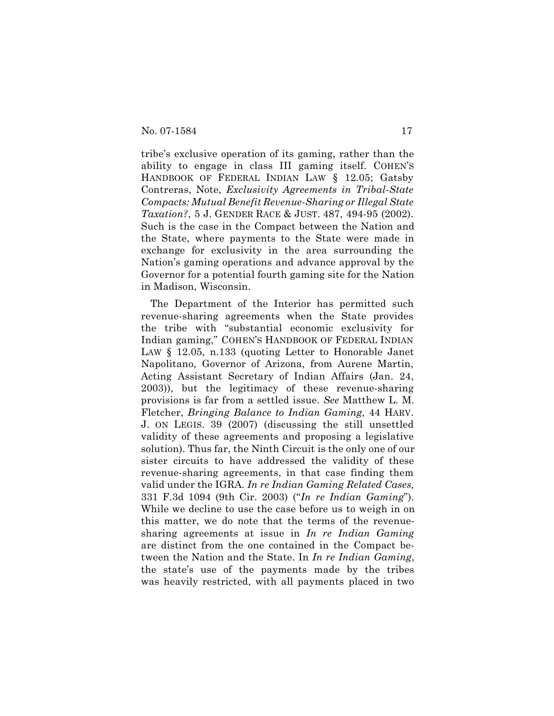tribe's exclusive operation of its gaming, rather than the ability to engage in class III gaming itself. COHEN'S HANDBOOK OF FEDERAL INDIAN LAW § 12.05; Gatsby Contreras, Note, *Exclusivity Agreements in Tribal-State Compacts: Mutual Benefit Revenue-Sharing or Illegal State Taxation?*, 5 J. GENDER RACE & JUST. 487, 494-95 (2002). Such is the case in the Compact between the Nation and the State, where payments to the State were made in exchange for exclusivity in the area surrounding the Nation's gaming operations and advance approval by the Governor for a potential fourth gaming site for the Nation in Madison, Wisconsin.

The Department of the Interior has permitted such revenue-sharing agreements when the State provides the tribe with "substantial economic exclusivity for Indian gaming," COHEN'S HANDBOOK OF FEDERAL INDIAN LAW § 12.05, n.133 (quoting Letter to Honorable Janet Napolitano, Governor of Arizona, from Aurene Martin, Acting Assistant Secretary of Indian Affairs (Jan. 24, 2003)), but the legitimacy of these revenue-sharing provisions is far from a settled issue. *See* Matthew L. M. Fletcher, *Bringing Balance to Indian Gaming*, 44 HARV. J. ON LEGIS. 39 (2007) (discussing the still unsettled validity of these agreements and proposing a legislative solution). Thus far, the Ninth Circuit is the only one of our sister circuits to have addressed the validity of these revenue-sharing agreements, in that case finding them valid under the IGRA. *In re Indian Gaming Related Cases,* 331 F.3d 1094 (9th Cir. 2003) ("*In re Indian Gaming*"). While we decline to use the case before us to weigh in on this matter, we do note that the terms of the revenuesharing agreements at issue in *In re Indian Gaming* are distinct from the one contained in the Compact between the Nation and the State. In *In re Indian Gaming*, the state's use of the payments made by the tribes was heavily restricted, with all payments placed in two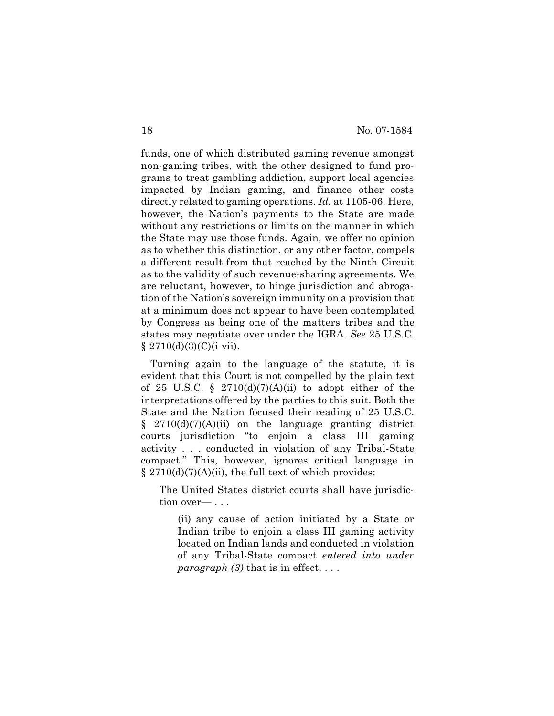funds, one of which distributed gaming revenue amongst non-gaming tribes, with the other designed to fund programs to treat gambling addiction, support local agencies impacted by Indian gaming, and finance other costs directly related to gaming operations. *Id.* at 1105-06. Here, however, the Nation's payments to the State are made without any restrictions or limits on the manner in which the State may use those funds. Again, we offer no opinion as to whether this distinction, or any other factor, compels a different result from that reached by the Ninth Circuit as to the validity of such revenue-sharing agreements. We are reluctant, however, to hinge jurisdiction and abrogation of the Nation's sovereign immunity on a provision that at a minimum does not appear to have been contemplated by Congress as being one of the matters tribes and the states may negotiate over under the IGRA. *See* 25 U.S.C.  $§ 2710(d)(3)(C)(i-vii).$ 

Turning again to the language of the statute, it is evident that this Court is not compelled by the plain text of 25 U.S.C. § 2710(d)(7)(A)(ii) to adopt either of the interpretations offered by the parties to this suit. Both the State and the Nation focused their reading of 25 U.S.C.  $\S$  2710(d)(7)(A)(ii) on the language granting district courts jurisdiction "to enjoin a class III gaming activity . . . conducted in violation of any Tribal-State compact." This, however, ignores critical language in  $\S 2710(d)(7)(A)(ii)$ , the full text of which provides:

The United States district courts shall have jurisdiction over— . . .

(ii) any cause of action initiated by a State or Indian tribe to enjoin a class III gaming activity located on Indian lands and conducted in violation of any Tribal-State compact *entered into under paragraph (3)* that is in effect,  $\dots$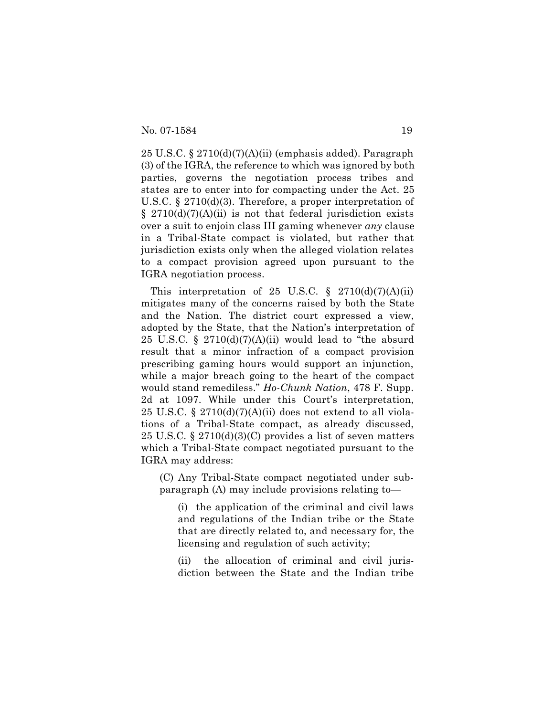25 U.S.C. §  $2710(d)(7)(A)(ii)$  (emphasis added). Paragraph (3) of the IGRA, the reference to which was ignored by both parties, governs the negotiation process tribes and states are to enter into for compacting under the Act. 25 U.S.C. § 2710(d)(3). Therefore, a proper interpretation of  $\S$  2710(d)(7)(A)(ii) is not that federal jurisdiction exists over a suit to enjoin class III gaming whenever *any* clause in a Tribal-State compact is violated, but rather that jurisdiction exists only when the alleged violation relates to a compact provision agreed upon pursuant to the IGRA negotiation process.

This interpretation of 25 U.S.C.  $\S$  2710(d)(7)(A)(ii) mitigates many of the concerns raised by both the State and the Nation. The district court expressed a view, adopted by the State, that the Nation's interpretation of 25 U.S.C. §  $2710(d)(7)(A)(ii)$  would lead to "the absurd" result that a minor infraction of a compact provision prescribing gaming hours would support an injunction, while a major breach going to the heart of the compact would stand remediless." *Ho-Chunk Nation*, 478 F. Supp. 2d at 1097. While under this Court's interpretation, 25 U.S.C. §  $2710(d)(7)(A)(ii)$  does not extend to all violations of a Tribal-State compact, as already discussed, 25 U.S.C. § 2710(d)(3)(C) provides a list of seven matters which a Tribal-State compact negotiated pursuant to the IGRA may address:

(C) Any Tribal-State compact negotiated under subparagraph (A) may include provisions relating to—

(i) the application of the criminal and civil laws and regulations of the Indian tribe or the State that are directly related to, and necessary for, the licensing and regulation of such activity;

(ii) the allocation of criminal and civil jurisdiction between the State and the Indian tribe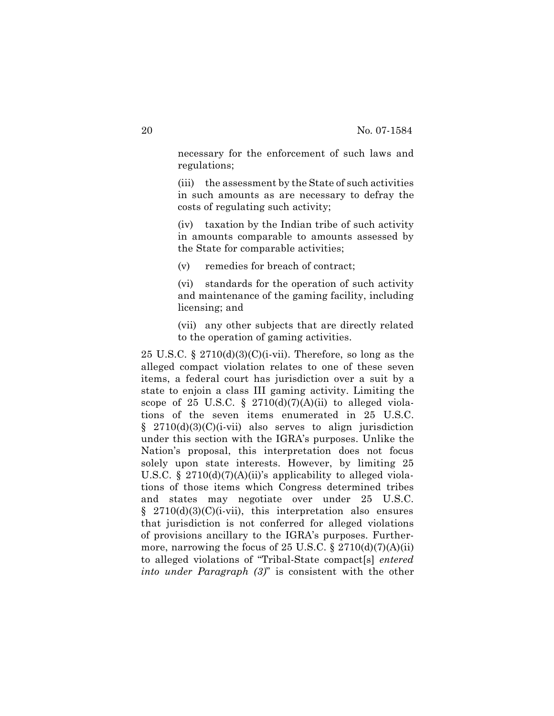necessary for the enforcement of such laws and regulations;

(iii) the assessment by the State of such activities in such amounts as are necessary to defray the costs of regulating such activity;

(iv) taxation by the Indian tribe of such activity in amounts comparable to amounts assessed by the State for comparable activities;

(v) remedies for breach of contract;

(vi) standards for the operation of such activity and maintenance of the gaming facility, including licensing; and

(vii) any other subjects that are directly related to the operation of gaming activities.

25 U.S.C. § 2710(d)(3)(C)(i-vii). Therefore, so long as the alleged compact violation relates to one of these seven items, a federal court has jurisdiction over a suit by a state to enjoin a class III gaming activity. Limiting the scope of 25 U.S.C. §  $2710(d)(7)(A)(ii)$  to alleged violations of the seven items enumerated in 25 U.S.C.  $§$  2710(d)(3)(C)(i-vii) also serves to align jurisdiction under this section with the IGRA's purposes. Unlike the Nation's proposal, this interpretation does not focus solely upon state interests. However, by limiting 25 U.S.C. § 2710(d)(7)(A)(ii)'s applicability to alleged violations of those items which Congress determined tribes and states may negotiate over under 25 U.S.C.  $§$  2710(d)(3)(C)(i-vii), this interpretation also ensures that jurisdiction is not conferred for alleged violations of provisions ancillary to the IGRA's purposes. Furthermore, narrowing the focus of 25 U.S.C.  $\S 2710(d)(7)(A)(ii)$ to alleged violations of "Tribal-State compact[s] *entered into under Paragraph (3)*" is consistent with the other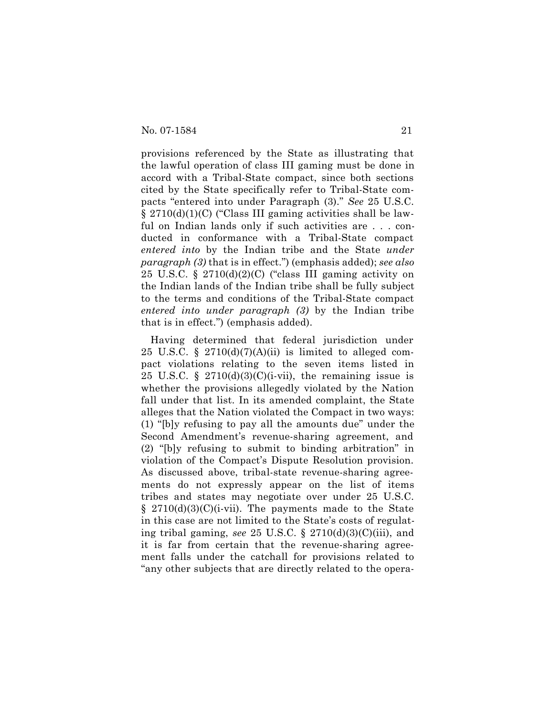provisions referenced by the State as illustrating that the lawful operation of class III gaming must be done in accord with a Tribal-State compact, since both sections cited by the State specifically refer to Tribal-State compacts "entered into under Paragraph (3)." *See* 25 U.S.C. § 2710(d)(1)(C) ("Class III gaming activities shall be lawful on Indian lands only if such activities are . . . conducted in conformance with a Tribal-State compact *entered into* by the Indian tribe and the State *under paragraph (3)* that is in effect.") (emphasis added); *see also* 25 U.S.C. § 2710(d)(2)(C) ("class III gaming activity on the Indian lands of the Indian tribe shall be fully subject to the terms and conditions of the Tribal-State compact *entered into under paragraph (3)* by the Indian tribe that is in effect.") (emphasis added).

Having determined that federal jurisdiction under 25 U.S.C. § 2710(d)(7)(A)(ii) is limited to alleged compact violations relating to the seven items listed in 25 U.S.C. § 2710(d)(3)(C)(i-vii), the remaining issue is whether the provisions allegedly violated by the Nation fall under that list. In its amended complaint, the State alleges that the Nation violated the Compact in two ways: (1) "[b]y refusing to pay all the amounts due" under the Second Amendment's revenue-sharing agreement, and (2) "[b]y refusing to submit to binding arbitration" in violation of the Compact's Dispute Resolution provision. As discussed above, tribal-state revenue-sharing agreements do not expressly appear on the list of items tribes and states may negotiate over under 25 U.S.C.  $\S$  2710(d)(3)(C)(i-vii). The payments made to the State in this case are not limited to the State's costs of regulating tribal gaming, *see* 25 U.S.C. § 2710(d)(3)(C)(iii), and it is far from certain that the revenue-sharing agreement falls under the catchall for provisions related to "any other subjects that are directly related to the opera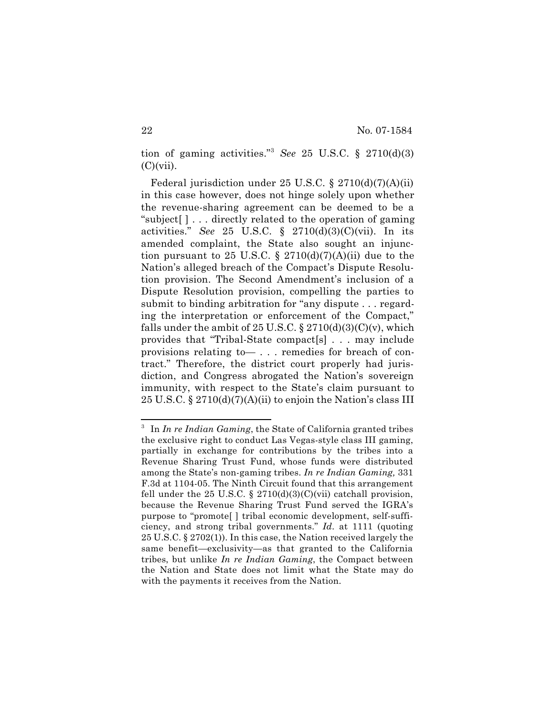tion of gaming activities."3 *See* 25 U.S.C. § 2710(d)(3)  $(C)(vii)$ .

Federal jurisdiction under 25 U.S.C. § 2710(d)(7)(A)(ii) in this case however, does not hinge solely upon whether the revenue-sharing agreement can be deemed to be a "subject[ ] . . . directly related to the operation of gaming activities." *See* 25 U.S.C. § 2710(d)(3)(C)(vii). In its amended complaint, the State also sought an injunction pursuant to 25 U.S.C. § 2710(d)(7)(A)(ii) due to the Nation's alleged breach of the Compact's Dispute Resolution provision. The Second Amendment's inclusion of a Dispute Resolution provision, compelling the parties to submit to binding arbitration for "any dispute . . . regarding the interpretation or enforcement of the Compact," falls under the ambit of 25 U.S.C.  $\S 2710(d)(3)(C)(v)$ , which provides that "Tribal-State compact[s] . . . may include provisions relating to— . . . remedies for breach of contract." Therefore, the district court properly had jurisdiction, and Congress abrogated the Nation's sovereign immunity, with respect to the State's claim pursuant to 25 U.S.C.  $\S 2710(d)(7)(A)(ii)$  to enjoin the Nation's class III

<sup>3</sup> In *In re Indian Gaming*, the State of California granted tribes the exclusive right to conduct Las Vegas-style class III gaming, partially in exchange for contributions by the tribes into a Revenue Sharing Trust Fund, whose funds were distributed among the State's non-gaming tribes. *In re Indian Gaming,* 331 F.3d at 1104-05. The Ninth Circuit found that this arrangement fell under the 25 U.S.C.  $\S$  2710(d)(3)(C)(vii) catchall provision, because the Revenue Sharing Trust Fund served the IGRA's purpose to "promote[ ] tribal economic development, self-sufficiency, and strong tribal governments." *Id*. at 1111 (quoting 25 U.S.C. § 2702(1)). In this case, the Nation received largely the same benefit—exclusivity—as that granted to the California tribes, but unlike *In re Indian Gaming*, the Compact between the Nation and State does not limit what the State may do with the payments it receives from the Nation.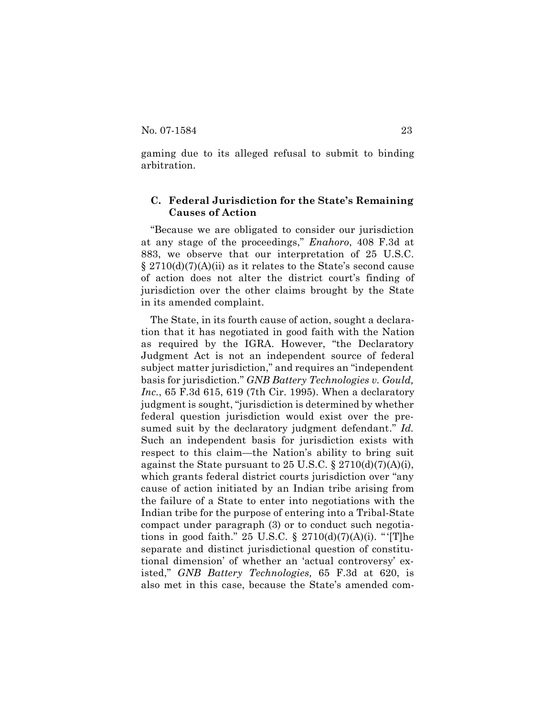gaming due to its alleged refusal to submit to binding arbitration.

## **C. Federal Jurisdiction for the State's Remaining Causes of Action**

"Because we are obligated to consider our jurisdiction at any stage of the proceedings," *Enahoro*, 408 F.3d at 883, we observe that our interpretation of 25 U.S.C.  $\S 2710(d)(7)(A)(ii)$  as it relates to the State's second cause of action does not alter the district court's finding of jurisdiction over the other claims brought by the State in its amended complaint.

The State, in its fourth cause of action, sought a declaration that it has negotiated in good faith with the Nation as required by the IGRA. However, "the Declaratory Judgment Act is not an independent source of federal subject matter jurisdiction," and requires an "independent basis for jurisdiction." *GNB Battery Technologies v. Gould, Inc.*, 65 F.3d 615, 619 (7th Cir. 1995). When a declaratory judgment is sought, "jurisdiction is determined by whether federal question jurisdiction would exist over the presumed suit by the declaratory judgment defendant." *Id.* Such an independent basis for jurisdiction exists with respect to this claim—the Nation's ability to bring suit against the State pursuant to 25 U.S.C. § 2710(d)(7)(A)(i), which grants federal district courts jurisdiction over "any cause of action initiated by an Indian tribe arising from the failure of a State to enter into negotiations with the Indian tribe for the purpose of entering into a Tribal-State compact under paragraph (3) or to conduct such negotiations in good faith." 25 U.S.C.  $\S$  2710(d)(7)(A)(i). "The separate and distinct jurisdictional question of constitutional dimension' of whether an 'actual controversy' existed," *GNB Battery Technologies,* 65 F.3d at 620, is also met in this case, because the State's amended com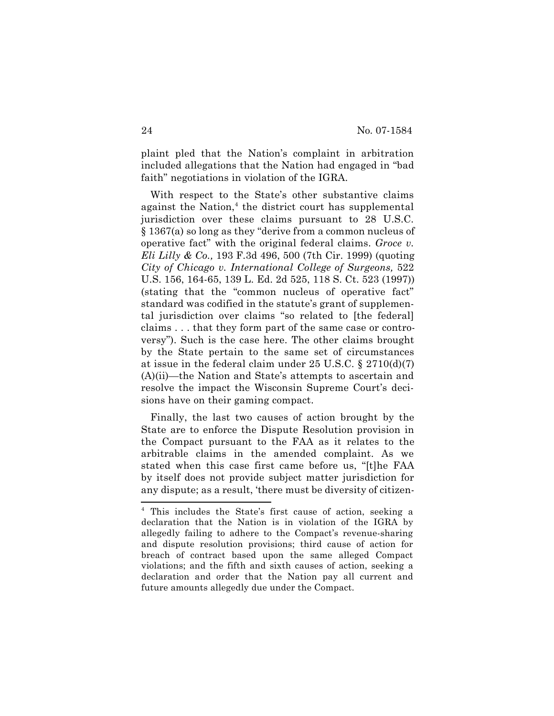plaint pled that the Nation's complaint in arbitration included allegations that the Nation had engaged in "bad faith" negotiations in violation of the IGRA.

With respect to the State's other substantive claims against the Nation,<sup>4</sup> the district court has supplemental jurisdiction over these claims pursuant to 28 U.S.C. § 1367(a) so long as they "derive from a common nucleus of operative fact" with the original federal claims. *Groce v. Eli Lilly & Co.,* 193 F.3d 496, 500 (7th Cir. 1999) (quoting *City of Chicago v. International College of Surgeons,* 522 U.S. 156, 164-65, 139 L. Ed. 2d 525, 118 S. Ct. 523 (1997)) (stating that the "common nucleus of operative fact" standard was codified in the statute's grant of supplemental jurisdiction over claims "so related to [the federal] claims . . . that they form part of the same case or controversy"). Such is the case here. The other claims brought by the State pertain to the same set of circumstances at issue in the federal claim under 25 U.S.C. § 2710(d)(7) (A)(ii)—the Nation and State's attempts to ascertain and resolve the impact the Wisconsin Supreme Court's decisions have on their gaming compact.

Finally, the last two causes of action brought by the State are to enforce the Dispute Resolution provision in the Compact pursuant to the FAA as it relates to the arbitrable claims in the amended complaint. As we stated when this case first came before us, "[t]he FAA by itself does not provide subject matter jurisdiction for any dispute; as a result, 'there must be diversity of citizen-

<sup>4</sup> This includes the State's first cause of action, seeking a declaration that the Nation is in violation of the IGRA by allegedly failing to adhere to the Compact's revenue-sharing and dispute resolution provisions; third cause of action for breach of contract based upon the same alleged Compact violations; and the fifth and sixth causes of action, seeking a declaration and order that the Nation pay all current and future amounts allegedly due under the Compact.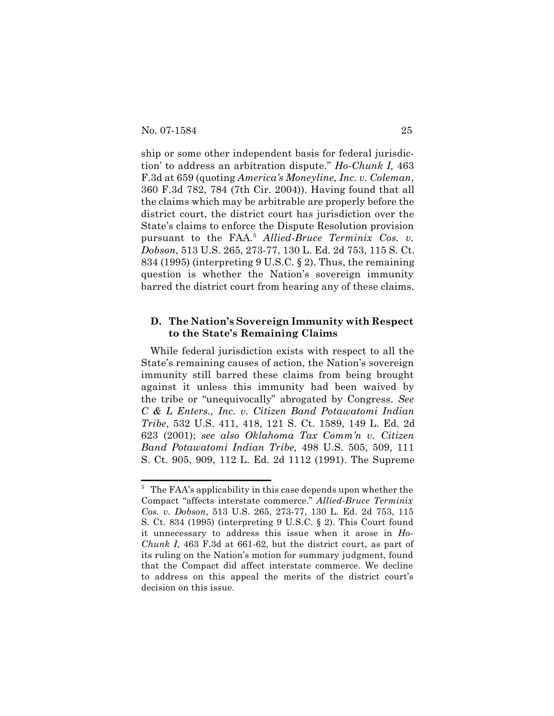ship or some other independent basis for federal jurisdiction' to address an arbitration dispute." *Ho-Chunk I,* 463 F.3d at 659 (quoting *America's Moneyline, Inc. v. Coleman*, 360 F.3d 782, 784 (7th Cir. 2004)). Having found that all the claims which may be arbitrable are properly before the district court, the district court has jurisdiction over the State's claims to enforce the Dispute Resolution provision pursuant to the FAA.5 *Allied-Bruce Terminix Cos. v. Dobson*, 513 U.S. 265, 273-77, 130 L. Ed. 2d 753, 115 S. Ct. 834 (1995) (interpreting 9 U.S.C. § 2). Thus, the remaining question is whether the Nation's sovereign immunity barred the district court from hearing any of these claims.

## **D. The Nation's Sovereign Immunity with Respect to the State's Remaining Claims**

While federal jurisdiction exists with respect to all the State's remaining causes of action, the Nation's sovereign immunity still barred these claims from being brought against it unless this immunity had been waived by the tribe or "unequivocally" abrogated by Congress. *See C & L Enters., Inc. v. Citizen Band Potawatomi Indian Tribe*, 532 U.S. 411, 418, 121 S. Ct. 1589, 149 L. Ed. 2d 623 (2001); *see also Oklahoma Tax Comm'n v. Citizen Band Potawatomi Indian Tribe,* 498 U.S. 505, 509, 111 S. Ct. 905, 909, 112 L. Ed. 2d 1112 (1991). The Supreme

<sup>&</sup>lt;sup>5</sup> The FAA's applicability in this case depends upon whether the Compact "affects interstate commerce." *Allied-Bruce Terminix Cos. v. Dobson*, 513 U.S. 265, 273-77, 130 L. Ed. 2d 753, 115 S. Ct. 834 (1995) (interpreting 9 U.S.C. § 2). This Court found it unnecessary to address this issue when it arose in *Ho-Chunk I*, 463 F.3d at 661-62, but the district court, as part of its ruling on the Nation's motion for summary judgment, found that the Compact did affect interstate commerce. We decline to address on this appeal the merits of the district court's decision on this issue.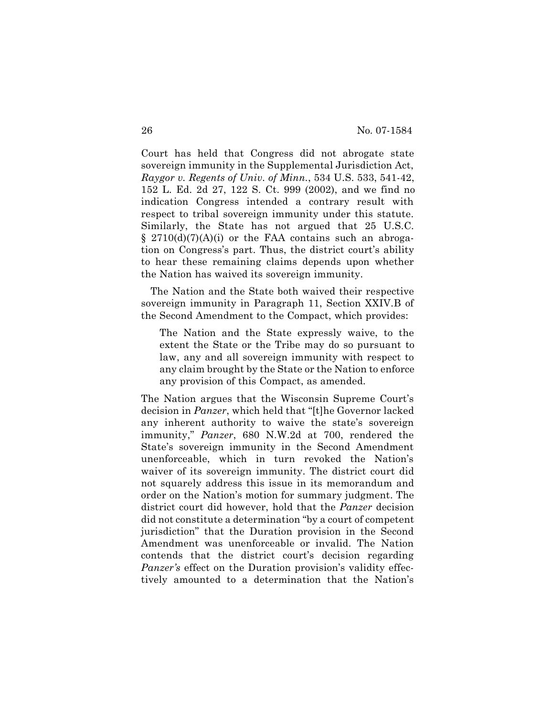Court has held that Congress did not abrogate state sovereign immunity in the Supplemental Jurisdiction Act, *Raygor v. Regents of Univ. of Minn.*, 534 U.S. 533, 541-42, 152 L. Ed. 2d 27, 122 S. Ct. 999 (2002), and we find no indication Congress intended a contrary result with respect to tribal sovereign immunity under this statute. Similarly, the State has not argued that 25 U.S.C.  $\S$  2710(d)(7)(A)(i) or the FAA contains such an abrogation on Congress's part. Thus, the district court's ability to hear these remaining claims depends upon whether the Nation has waived its sovereign immunity.

The Nation and the State both waived their respective sovereign immunity in Paragraph 11, Section XXIV.B of the Second Amendment to the Compact, which provides:

The Nation and the State expressly waive, to the extent the State or the Tribe may do so pursuant to law, any and all sovereign immunity with respect to any claim brought by the State or the Nation to enforce any provision of this Compact, as amended.

The Nation argues that the Wisconsin Supreme Court's decision in *Panzer*, which held that "[t]he Governor lacked any inherent authority to waive the state's sovereign immunity," *Panzer*, 680 N.W.2d at 700, rendered the State's sovereign immunity in the Second Amendment unenforceable, which in turn revoked the Nation's waiver of its sovereign immunity. The district court did not squarely address this issue in its memorandum and order on the Nation's motion for summary judgment. The district court did however, hold that the *Panzer* decision did not constitute a determination "by a court of competent jurisdiction" that the Duration provision in the Second Amendment was unenforceable or invalid. The Nation contends that the district court's decision regarding *Panzer's* effect on the Duration provision's validity effectively amounted to a determination that the Nation's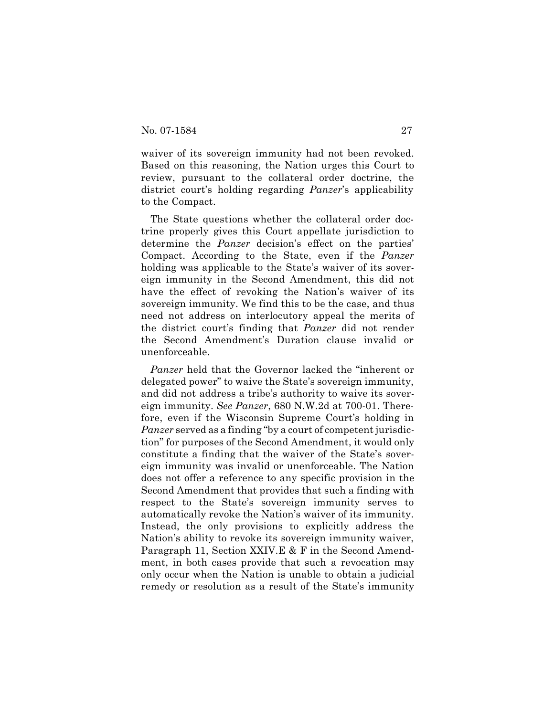waiver of its sovereign immunity had not been revoked. Based on this reasoning, the Nation urges this Court to review, pursuant to the collateral order doctrine, the district court's holding regarding *Panzer*'s applicability to the Compact.

The State questions whether the collateral order doctrine properly gives this Court appellate jurisdiction to determine the *Panzer* decision's effect on the parties' Compact. According to the State, even if the *Panzer* holding was applicable to the State's waiver of its sovereign immunity in the Second Amendment, this did not have the effect of revoking the Nation's waiver of its sovereign immunity. We find this to be the case, and thus need not address on interlocutory appeal the merits of the district court's finding that *Panzer* did not render the Second Amendment's Duration clause invalid or unenforceable.

*Panzer* held that the Governor lacked the "inherent or delegated power" to waive the State's sovereign immunity, and did not address a tribe's authority to waive its sovereign immunity. *See Panzer*, 680 N.W.2d at 700-01. Therefore, even if the Wisconsin Supreme Court's holding in *Panzer* served as a finding "by a court of competent jurisdiction" for purposes of the Second Amendment, it would only constitute a finding that the waiver of the State's sovereign immunity was invalid or unenforceable. The Nation does not offer a reference to any specific provision in the Second Amendment that provides that such a finding with respect to the State's sovereign immunity serves to automatically revoke the Nation's waiver of its immunity. Instead, the only provisions to explicitly address the Nation's ability to revoke its sovereign immunity waiver, Paragraph 11, Section XXIV.E & F in the Second Amendment, in both cases provide that such a revocation may only occur when the Nation is unable to obtain a judicial remedy or resolution as a result of the State's immunity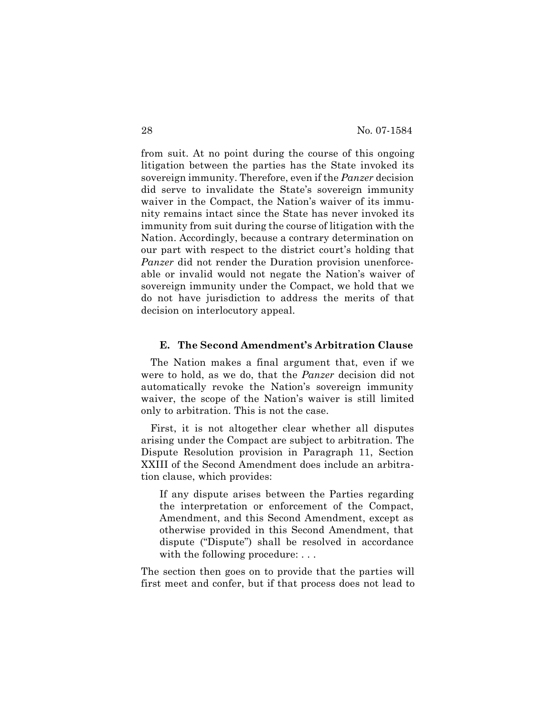from suit. At no point during the course of this ongoing litigation between the parties has the State invoked its sovereign immunity. Therefore, even if the *Panzer* decision did serve to invalidate the State's sovereign immunity waiver in the Compact, the Nation's waiver of its immunity remains intact since the State has never invoked its immunity from suit during the course of litigation with the Nation. Accordingly, because a contrary determination on our part with respect to the district court's holding that *Panzer* did not render the Duration provision unenforceable or invalid would not negate the Nation's waiver of sovereign immunity under the Compact, we hold that we do not have jurisdiction to address the merits of that decision on interlocutory appeal.

## **E. The Second Amendment's Arbitration Clause**

The Nation makes a final argument that, even if we were to hold, as we do, that the *Panzer* decision did not automatically revoke the Nation's sovereign immunity waiver, the scope of the Nation's waiver is still limited only to arbitration. This is not the case.

First, it is not altogether clear whether all disputes arising under the Compact are subject to arbitration. The Dispute Resolution provision in Paragraph 11, Section XXIII of the Second Amendment does include an arbitration clause, which provides:

If any dispute arises between the Parties regarding the interpretation or enforcement of the Compact, Amendment, and this Second Amendment, except as otherwise provided in this Second Amendment, that dispute ("Dispute") shall be resolved in accordance with the following procedure: ...

The section then goes on to provide that the parties will first meet and confer, but if that process does not lead to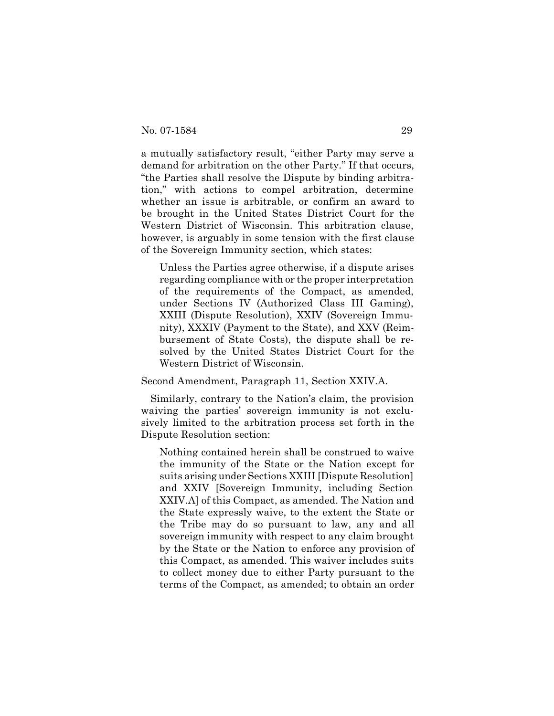a mutually satisfactory result, "either Party may serve a demand for arbitration on the other Party." If that occurs, "the Parties shall resolve the Dispute by binding arbitration," with actions to compel arbitration, determine whether an issue is arbitrable, or confirm an award to be brought in the United States District Court for the Western District of Wisconsin. This arbitration clause, however, is arguably in some tension with the first clause of the Sovereign Immunity section, which states:

Unless the Parties agree otherwise, if a dispute arises regarding compliance with or the proper interpretation of the requirements of the Compact, as amended, under Sections IV (Authorized Class III Gaming), XXIII (Dispute Resolution), XXIV (Sovereign Immunity), XXXIV (Payment to the State), and XXV (Reimbursement of State Costs), the dispute shall be resolved by the United States District Court for the Western District of Wisconsin.

Second Amendment, Paragraph 11, Section XXIV.A.

Similarly, contrary to the Nation's claim, the provision waiving the parties' sovereign immunity is not exclusively limited to the arbitration process set forth in the Dispute Resolution section:

Nothing contained herein shall be construed to waive the immunity of the State or the Nation except for suits arising under Sections XXIII [Dispute Resolution] and XXIV [Sovereign Immunity, including Section XXIV.A] of this Compact, as amended. The Nation and the State expressly waive, to the extent the State or the Tribe may do so pursuant to law, any and all sovereign immunity with respect to any claim brought by the State or the Nation to enforce any provision of this Compact, as amended. This waiver includes suits to collect money due to either Party pursuant to the terms of the Compact, as amended; to obtain an order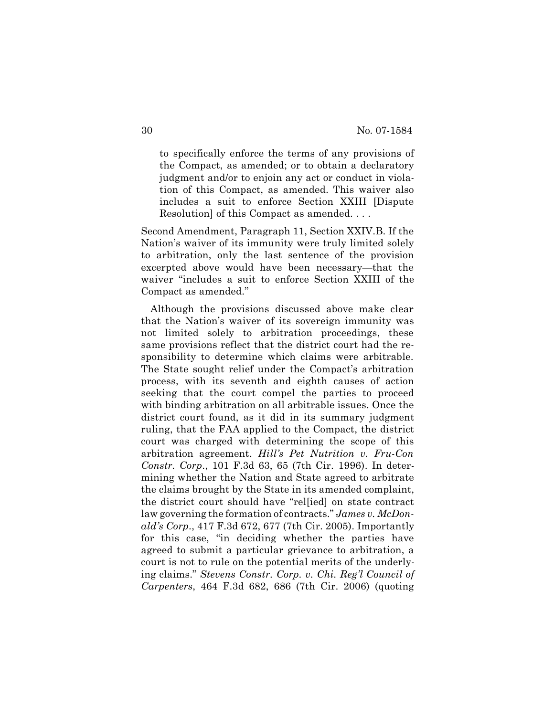to specifically enforce the terms of any provisions of the Compact, as amended; or to obtain a declaratory judgment and/or to enjoin any act or conduct in violation of this Compact, as amended. This waiver also includes a suit to enforce Section XXIII [Dispute Resolution] of this Compact as amended. . . .

Second Amendment, Paragraph 11, Section XXIV.B. If the Nation's waiver of its immunity were truly limited solely to arbitration, only the last sentence of the provision excerpted above would have been necessary—that the waiver "includes a suit to enforce Section XXIII of the Compact as amended."

Although the provisions discussed above make clear that the Nation's waiver of its sovereign immunity was not limited solely to arbitration proceedings, these same provisions reflect that the district court had the responsibility to determine which claims were arbitrable. The State sought relief under the Compact's arbitration process, with its seventh and eighth causes of action seeking that the court compel the parties to proceed with binding arbitration on all arbitrable issues. Once the district court found, as it did in its summary judgment ruling, that the FAA applied to the Compact, the district court was charged with determining the scope of this arbitration agreement. *Hill's Pet Nutrition v. Fru-Con Constr. Corp*., 101 F.3d 63, 65 (7th Cir. 1996). In determining whether the Nation and State agreed to arbitrate the claims brought by the State in its amended complaint, the district court should have "rel[ied] on state contract law governing the formation of contracts." *James v. McDonald's Corp*., 417 F.3d 672, 677 (7th Cir. 2005). Importantly for this case, "in deciding whether the parties have agreed to submit a particular grievance to arbitration, a court is not to rule on the potential merits of the underlying claims." *Stevens Constr. Corp. v. Chi. Reg'l Council of Carpenters*, 464 F.3d 682, 686 (7th Cir. 2006) (quoting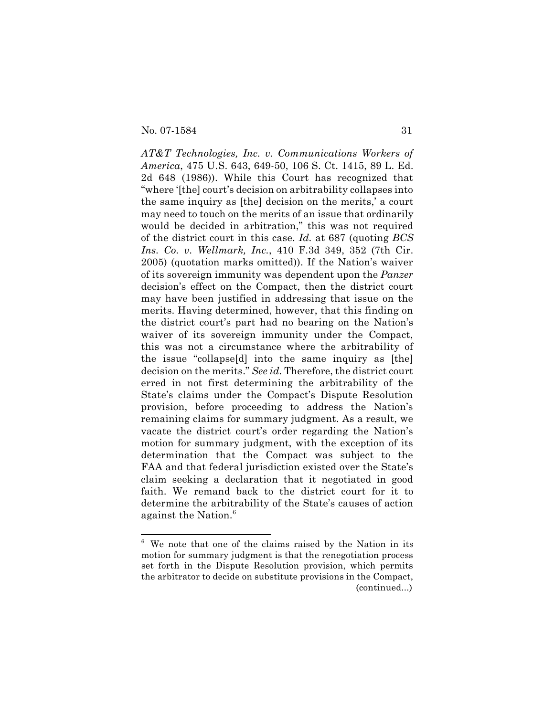No. 07-1584 31

*AT&T Technologies, Inc. v. Communications Workers of America*, 475 U.S. 643, 649-50, 106 S. Ct. 1415, 89 L. Ed. 2d 648 (1986)). While this Court has recognized that "where '[the] court's decision on arbitrability collapses into the same inquiry as [the] decision on the merits,' a court may need to touch on the merits of an issue that ordinarily would be decided in arbitration," this was not required of the district court in this case. *Id.* at 687 (quoting *BCS Ins. Co. v. Wellmark, Inc.*, 410 F.3d 349, 352 (7th Cir. 2005) (quotation marks omitted)). If the Nation's waiver of its sovereign immunity was dependent upon the *Panzer* decision's effect on the Compact, then the district court may have been justified in addressing that issue on the merits. Having determined, however, that this finding on the district court's part had no bearing on the Nation's waiver of its sovereign immunity under the Compact, this was not a circumstance where the arbitrability of the issue "collapse[d] into the same inquiry as [the] decision on the merits." *See id.* Therefore, the district court erred in not first determining the arbitrability of the State's claims under the Compact's Dispute Resolution provision, before proceeding to address the Nation's remaining claims for summary judgment. As a result, we vacate the district court's order regarding the Nation's motion for summary judgment, with the exception of its determination that the Compact was subject to the FAA and that federal jurisdiction existed over the State's claim seeking a declaration that it negotiated in good faith. We remand back to the district court for it to determine the arbitrability of the State's causes of action against the Nation.<sup>6</sup>

<sup>6</sup> We note that one of the claims raised by the Nation in its motion for summary judgment is that the renegotiation process set forth in the Dispute Resolution provision, which permits the arbitrator to decide on substitute provisions in the Compact, (continued...)